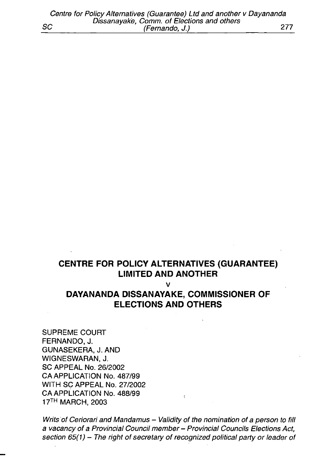# **CENTRE FOR POLICY ALTERNATIVES (GUARANTEE) LIMITED AND ANOTHER**

v

# **DAYANANDA DISSANAYAKE, COMMISSIONER OF ELECTIONS AND OTHERS**

SUPREME COURT FERNANDO, J. GUNASEKERA, J. AND WIGNESWARAN, J. SC APPEAL No. 26/2002 CA APPLICATION No. 487/99 WITH SC APPEAL No. 27/2002 CA APPLICATION No. 488/99 17th MARCH, 2003

*Writs of Ceriorari and Mandamus - Validity of the nomination of a person to fill a vacancy of a Provincial Council member - Provincial Councils Elections Act, section 65(1) - The right of secretary of recognized political party or leader of*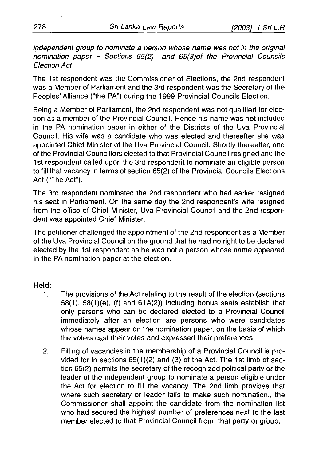*independent group to nominate a person whose name was not in the original nomination paper* - *Sections 65(2) and 65(3)of the Provincial Councils Election Act*

The 1st respondent was the Commissioner of Elections, the 2nd respondent was a Member of Parliament and the 3rd respondent was the Secretary of the Peoples' Alliance ("the PA") during the 1999 Provincial Councils Election.

Being a Member of Parliament, the 2nd respondent was not qualified for election as a member of the Provincial Council. Hence his name was not included in the PA nomination paper in either of the Districts of the Uva Provincial Council. His wife was a candidate who was elected and thereafter she was appointed Chief Minister of the Uva Provincial Council. Shortly thereafter, one of the Provincial Councillors elected to that Provincial Council resigned and the 1st respondent called upon the 3rd respondent to nominate an eligible person to fill that vacancy in terms of section 65(2) of the Provincial Councils Elections Act ('The Act").

The 3rd respondent nominated the 2nd respondent who had earlier resigned his seat in Parliament. On the same day the 2nd respondent's wife resigned from the office of Chief Minister, Uva Provincial Council and the 2nd respondent was appointed Chief Minister.

The petitioner challenged the appointment of the 2nd respondent as a Member of the Uva Provincial Council on the ground that he had no right to be declared elected by the 1 st respondent as he was not a person whose name appeared in the PA nomination paper at the election.

#### **Held:**

- 1. The provisions of the Act relating to the result of the election (sections 58(1), 58(1 )(e), (f) and 61A(2)) including bonus seats establish that only persons who can be declared elected to a Provincial Council immediately after an election are persons who were candidates whose names appear on the nomination paper, on the basis of which the voters cast their votes and expressed their preferences.
- 2. Filling of vacancies in the membership of a Provincial Council is provided for in sections  $65(1)(2)$  and  $(3)$  of the Act. The 1st limb of section 65(2) permits the secretary of the recognized political party or the leader of the independent group to nominate a person eligible under the Act for election to fill the vacancy. The 2nd limb provides that where such secretary or leader fails to make such nomination., the Commissioner shall appoint the candidate from the nomination list who had secured the highest number of preferences next to the last member elected to that Provincial Council from that party or group.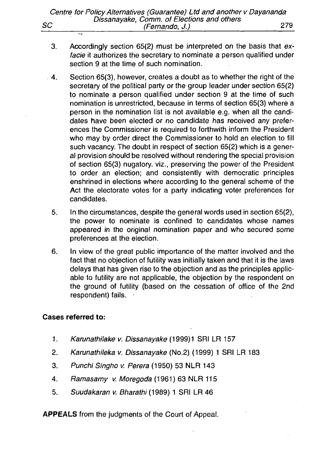- 3. Accordingly section 65(2) must be interpreted on the basis that ex*facie* it authorizes the secretary to nominate a person qualified under section 9 at the time of such nomination.
- . 4. Section 65(3), however, creates a doubt as to whether the right of the secretary of the political party or the group leader under section 65(2) to nominate a person qualified under section 9 at the time of such nomination is unrestricted, because in terms of section 65(3) where a person in the nomination list is not available e.g. when all the candidates have been elected or no candidate has received any preferences the Commissioner is required to forthwith inform the President who may by order direct the Commissioner to hold an election to fill such vacancy. The doubt in respect of section 65(2) which is a general provision should be resolved without rendering the special provision of section 65(3) nugatory, viz., preserving the power of the President to order an election; and consistently with democratic principles enshrined in elections where according to the general scheme of the Act the electorate votes for a party indicating voter preferences for candidates.
	- 5. In the circumstances, despite the general words used in section 65(2), the power to nominate is confined to candidates whose names appeared in the original nomination paper and who secured some preferences at the election.
	- 6. In view of the great public importance of the matter involved and the fact that no objection of futility was initially taken and that it is the laws delays that has given rise to the objection and as the principles applicable to futility are not applicable, the objection by the respondent on the ground of futility (based on the cessation of office of the 2nd respondent) fails.

#### **Cases referred to:**

- 1. *Karunathilake v. Dissanayake* (1999)1 SRI LR 157
- 2. *Karunathileka v. Dissanayake* (No.2) (1999) 1 SRI LR 183
- 3. *Punchi Singho v. Perera* (1950) 53 NLR 143
- 4. *Ramasamy v. Moregoda* (1961) 63 NLR 115
- 5. *Suudakaran v. Bharathi* (1989) 1 SRI LR 46

**APPEALS** from the judgments of the Court of Appeal.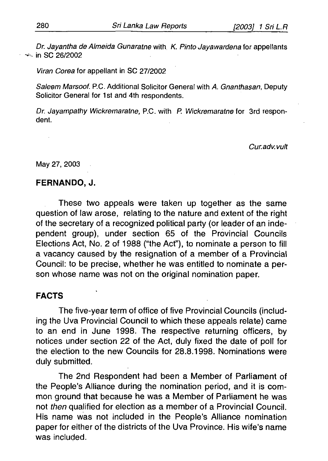*Dr. Jayantha de Almeida Gunaratne* with *K. Pinto Jayawardena* for appellants  $\sim$  in SC 26/2002

*Viran Corea* for appellant in SC 27/2002

*Saleem Marsoof.* P.C. Additional Solicitor General with *A. Gnanthasan,* Deputy Solicitor General for 1st and 4th respondents.

*Dr. Jayampathy Wickremaratne,* P.C. with P. *Wickremaratne* for 3rd respondent.

#### *Cur.adv.vuit*

May 27, 2003

#### **FERNANDO, J.**

These two appeals were taken up together as the same question of law arose, relating to the nature and extent of the right of the secretary of a recognized political party (or leader of an independent group), under section 65 of the Provincial Councils Elections Act, No. 2 of 1988 ("the Act"), to nominate a person to fill a vacancy caused by the resignation of a member of a Provincial Council: to be precise, whether he was entitled to nominate a person whose name was not on the original nomination paper.

### **FACTS**

The five-year term of office of five Provincial Councils (including the Uva Provincial Council to which these appeals relate) came to an end in June 1998. The respective returning officers, by notices under section 22 of the Act, duly fixed the date of poll for the election to the new Councils for 28.8.1998. Nominations were duly submitted.

The 2nd Respondent had been a Member of Parliament of the People's Alliance during the nomination period, and it is common ground that because he was a Member of Parliament he was not *then* qualified for election as a member of a Provincial Council. His name was not included in the People's Alliance nomination paper for either of the districts of the Uva Province. His wife's name was included.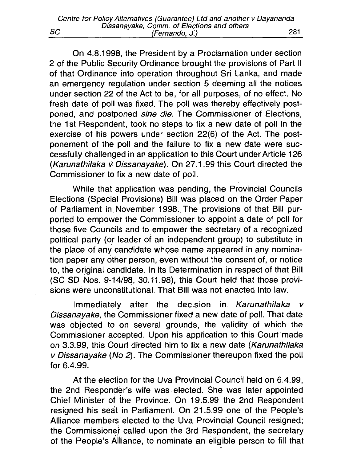On 4.8.1998, the President by a Proclamation under section 2 of the Public Security Ordinance brought the provisions of Part II of that Ordinance into operation throughout Sri Lanka, and made an emergency regulation under section 5 deeming all the notices under section 22 of the Act to be, for all purposes, of no effect. No fresh date of poll was fixed. The poll was thereby effectively postponed, and postponed *sine die.* The Commissioner of Elections, the 1st Respondent, took no steps to fix a new date of poll in the exercise of his powers under section 22(6) of the Act. The postponement of the poll and the failure to fix a new date were successfully challenged in an application to this Court under Article 126 *(Karunathilaka v Dissanavake).* On 27.1.99 this Court directed the Commissioner to fix a new date of poll.

While that application was pending, the Provincial Councils Elections (Special Provisions) Bill was placed on the Order Paper of Parliament in . November 1998. The provisions of that Bill purported to empower the Commissioner to appoint a date of poll for those five Councils and to empower the secretary of a recognized political party (or leader of an independent group) to substitute in the place of any candidate whose name appeared in any nomination paper any other person, even without the consent of, or notice to, the original candidate. In its Determination in respect of that Bill (SC SD Nos. 9-14/98, 30.11.98), this Court held that those provisions were unconstitutional. That Bill was not enacted into law.

Immediately after the decision in *Karunathilaka v* **Dissanayake, the Commissioner fixed a new date of poll. That date** was objected to on several grounds, the validity of which the Commissioner accepted. Upon his application to this Court made on 3.3.99, this Court directed him to fix a new date (*Karunathilaka v Dissanayake* (No 2). The Commissioner thereupon fixed the poll for 6.4.99.

At the election for the Uva Provincial Council held on 6.4.99, the 2nd Responder's wife was elected. She was later appointed Chief Minister of the Province. On 19.5.99 the 2nd Respondent resigned his seat in Parliament. On 21.5.99 one of the People's Alliance members elected to the Uva Provincial Council resigned; the Commissioner, called upon the 3rd Respondent, the secretary of the People's Alliance, to nominate an eligible person to fill that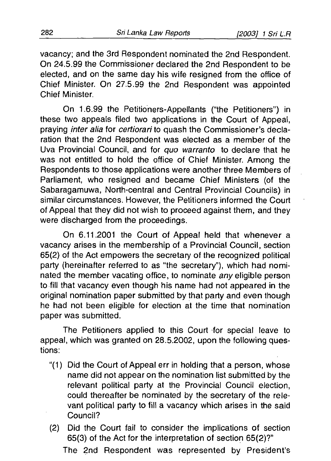vacancy; and the 3rd Respondent nominated the 2nd Respondent. On 24.5.99 the Commissioner declared the 2nd Respondent to be elected, and on the same day his wife resigned from the office of Chief Minister. On 27.5.99 the 2nd Respondent was appointed Chief Minister.

On 1.6.99 the Petitioners-Appellants ("the Petitioners") in these two appeals filed two applications in the Court of Appeal, praying *in ter alia* for *certiorari* to quash the Commissioner's declaration that the 2nd Respondent was elected as a member of the Uva Provincial Council, and for *quo warranto* to declare that he was not entitled to hold the office of Chief Minister. Among the Respondents to those applications were another three Members of Parliament, who resigned and became Chief Ministers (of the Sabaragamuwa, North-central and Central Provincial Councils) in similar circumstances. However, the Petitioners informed the Court of Appeal that they did not wish to proceed against them, and they were discharged from the proceedings.

On 6.11.2001 the Court of Appeal held that whenever a vacancy arises in the membership of a Provincial Council, section 65(2) of the Act empowers the secretary of the recognized political party (hereinafter referred to as "the secretary"), which had nominated the member vacating office, to nominate *any* eligible person to fill that vacancy even though his name had not appeared in the original nomination paper submitted by that party and even though he had not been eligible for election at the time that nomination paper was submitted.

The Petitioners applied to this Court for special leave to appeal, which was granted on 28.5.2002, upon the following questions:

- "(1) Did the Court of Appeal err in holding that a person, whose name did not appear on the nomination list submitted by the relevant political party at the Provincial Council election, could thereafter be nominated by the secretary of the relevant political party to fill a vacancy which arises in the said Council?
- (2) Did the Court fail to consider the implications of section 65(3) of the Act for the interpretation of section 65(2)?"

The 2nd Respondent was represented by President's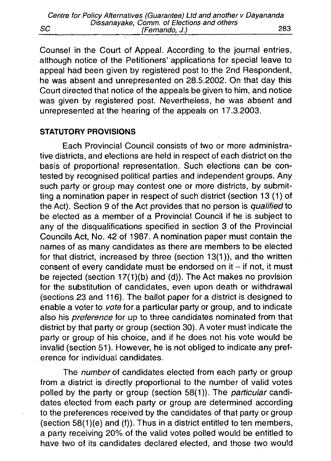|    | Centre for Policy Alternatives (Guarantee) Ltd and another v Dayananda |     |
|----|------------------------------------------------------------------------|-----|
|    | Dissanayake, Comm. of Elections and others                             |     |
| SC | (Fernando, J.)                                                         | 283 |

Counsel in the Court of Appeal. According to the journal entries, although notice of the Petitioners' applications for special leave to appeal had been given by registered post to the 2nd Respondent, he was absent and unrepresented on 28.5.2002. On that day this Court directed that notice of the appeals be given to him, and notice was given by registered post. Nevertheless, he was absent and unrepresented at the hearing of the appeals on 17.3.2003.

#### **STATUTORY PROVISIONS**

Each Provincial Council consists of two or more administrative districts, and elections are held in respect of each district on the basis of proportional representation. Such elections can be contested by recognised political parties and independent groups. Any such party or group may contest one or more districts, by submitting a nomination paper in respect of such district (section 13 (1) of the Act). Section 9 of the Act provides that no person is *qualified* to be elected as a member of a Provincial Council if he is subject to any of the disqualifications specified in section 3 of the Provincial Councils Act, No. 42 of 1987. A nomination paper must contain the names of as many candidates as there are members to be elected for that district, increased by three (section 13(1)), and the written consent of every candidate must be endorsed on it  $-$  if not, it must be rejected (section  $17(1)(b)$  and  $(d)$ ). The Act makes no provision for the substitution of candidates, even upon death or withdrawal (sections 23 and 116). The ballot paper for a district is designed to enable a voter to *vote* for a particular party or group, and to indicate also his *preference* for up to three candidates nominated from that district by that party or group (section 30). A voter must indicate the party or group of his choice, and if he does not his vote would be invalid (section 51). However, he is not obliged to indicate any preference for individual candidates.

The *number* of candidates elected from each party or group from a district is directly proportional to the number of valid votes polled by the party or group (section 58(1)). The *particular* candidates elected from each party or group are determined according to the preferences received by the candidates of that party or group (section  $58(1)(e)$  and  $(f)$ ). Thus in a district entitled to ten members, a party receiving 20% of the valid votes polled would be entitled to have two of its candidates declared elected, and those two would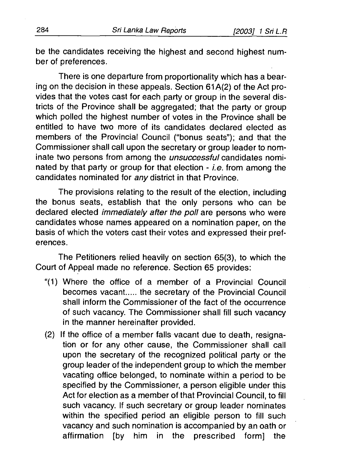be the candidates receiving the highest and second highest number of preferences.

There is one departure from proportionality which has a bearing on the decision in these appeals. Section 61 A(2) of the Act provides that the votes cast for each party or group in the several districts of the Province shall be aggregated; that the party or group which polled the highest number of votes in the Province shall be entitled to have two more of its candidates declared elected as members of the Provincial Council ("bonus seats"); and that the Commissioner shall call upon the secretary or group leader to nominate two persons from among the *unsuccessful* candidates nominated by that party or group for that election - *i.e.* from among the candidates nominated for *any* district in that Province.

The provisions relating to the result of the election, including the bonus seats, establish that the only persons who can be declared elected *immediately after the poll* are persons who were candidates whose names appeared on a nomination paper, on the basis of which the voters cast their votes and expressed their preferences.

The Petitioners relied heavily on section 65(3), to which the Court of Appeal made no reference. Section 65 provides:

- "(1) Where the office of a member of a Provincial Council becomes vacant..... the secretary of the Provincial Council shall inform the Commissioner of the fact of the occurrence of such vacancy. The Commissioner shall fill such vacancy in the manner hereinafter provided.
- (2) If the office of a member falls vacant due to death, resignation or for any other cause, the Commissioner shall call upon the secretary of the recognized political party or the group leader of the independent group to which the member vacating office belonged, to nominate within a period to be specified by the Commissioner, a person eligible under this Act for election as a member of that Provincial Council, to fill such vacancy. If such secretary or group leader nominates within the specified period an eligible person to fill such vacancy and such nomination is accompanied by an oath or affirmation [by him in the prescribed form] the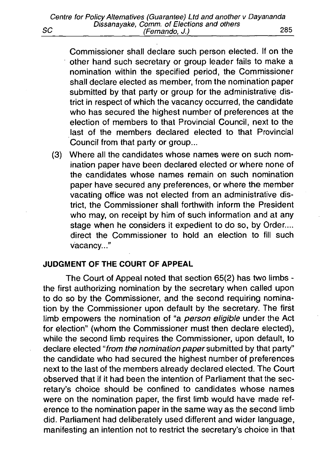Commissioner shall declare such person elected. If on the other hand such secretary or group leader fails to make a nomination within the specified period, the Commissioner shall declare elected as member, from the nomination paper submitted by that party or group for the administrative district in respect of which the vacancy occurred, the candidate who has secured the highest number of preferences at the election of members to that Provincial Council, next to the last of the members declared elected to that Provincial Council from that party or group...

(3) Where all the candidates whose names were on such nomination paper have been declared elected or where none of the candidates whose names remain on such nomination paper have secured any preferences, or where the member vacating office was not elected from an administrative district, the Commissioner shall forthwith inform the President who may, on receipt by him of such information and at any stage when he considers it expedient to do so, by Order.... direct the Commissioner to hold an election to fill such vacancy..."

### **JUDGMENT OF THE COURT OF APPEAL**

The Court of Appeal noted that section 65(2) has two limbs the first authorizing nomination by the secretary when called upon to do so by the Commissioner, and the second requiring nomination by the Commissioner upon default by the secretary. The first limb empowers the nomination of "a *person eligible* under the Act for election" (whom the Commissioner must then declare elected), while the second limb requires the Commissioner, upon default, to declare elected "from the nomination paper submitted by that party" the candidate who had secured the highest number of preferences next to the last of the members already declared elected. The Court observed that if it had been the intention of Parliament that the secretary's choice should be confined to candidates whose names were on the nomination paper, the first limb would have made reference to the nomination paper in the same way as the second limb did. Parliament had deliberately used different and wider language, manifesting an intention not to restrict the secretary's choice in that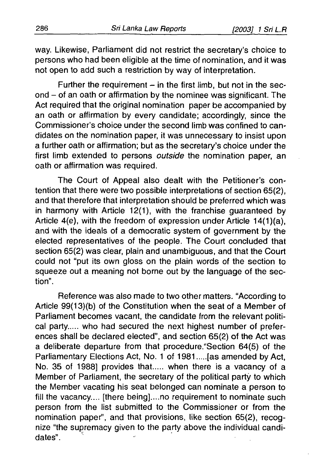way. Likewise, Parliament did not restrict the secretary's choice to persons who had been eligible at the time of nomination, and it was not open to add such a restriction by way of interpretation.

Further the requirement  $-$  in the first limb, but not in the second - of an oath or affirmation by the nominee was significant. The Act required that the original nomination paper be accompanied by an oath or affirmation by every candidate; accordingly, since the Commissioner's choice under the second limb was confined to candidates on the nomination paper, it was unnecessary to insist upon a further oath or affirmation; but as the secretary's choice under the first limb extended to persons *outside* the nomination paper, an oath or affirmation was required.

The Court of Appeal also dealt with the Petitioner's contention that there were two possible interpretations of section 65(2), and that therefore that interpretation should be preferred which was in harmony with Article 12(1), with the franchise guaranteed by Article  $4(e)$ , with the freedom of expression under Article  $14(1)(a)$ , and with the ideals of a democratic system of government by the elected representatives of the people. The Court concluded that section 65(2) was clear, plain and unambiguous, and that the Court could not "put its own gloss on the plain words of the section to squeeze out a meaning not borne out by the language of the section".

Reference was also made to two other matters. "According to Article 99(13)(b) of the Constitution when the seat of a Member of Parliament becomes vacant, the candidate from the relevant political party..... who had secured the next highest number of preferences shall be declared elected", and section 65(2) of the Act was a deliberate departure from that procedure."Section 64(5) of the Parliamentary Elections Act, No. 1 of 1981....[as amended by Act, No. 35 of 1988] provides that.... when there is a vacancy of a Member of Parliament, the secretary of the political party to which the Member vacating his seat belonged can nominate a person to fill the vacancy.... [there being],...no requirement to nominate such person from the list submitted to the Commissioner or from the nomination paper", and that provisions, like section 65(2), recognize "the supremacy given to the party above the individual candidates".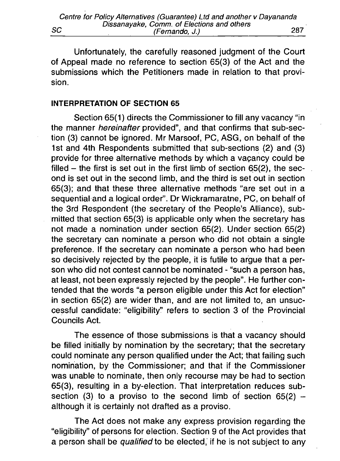Unfortunately, the carefully reasoned judgment of the Court of Appeal made no reference to section 65(3) of the Act and the submissions which the Petitioners made in relation to that provision.

#### **INTERPRETATION OF SECTION 65**

Section 65(1) directs the Commissioner to fill any vacancy "in the manner *hereinafter* provided", and that confirms that sub-section (3) cannot be ignored. Mr Marsoof, PC, ASG, on behalf of the 1st and 4th Respondents submitted that sub-sections (2) and (3) provide for three alternative methods by which a vacancy could be filled  $-$  the first is set out in the first limb of section  $65(2)$ , the second is set out in the second limb, and the third is set out in section 65(3); and that these three alternative methods "are set out in a sequential and a logical order". Dr Wickramaratne, PC, on behalf of the 3rd Respondent (the secretary of the People's Alliance), submitted that section 65(3) is applicable only when the secretary has not made a nomination under section 65(2). Under section 65(2) the secretary can nominate a person who did not obtain a single preference. If the secretary can nominate a person who had been so decisively rejected by the people, it is futile to argue that a person who did not contest cannot be nominated - "such a person has, at least, not been expressly rejected by the people". He further contended that the words "a person eligible under this Act for election" in section 65(2) are wider than, and are not limited to, an unsuccessful candidate: "eligibility" refers to section 3 of the Provincial Councils Act.

The essence of those submissions is that a vacancy should be filled initially by nomination by the secretary; that the secretary could nominate any person qualified under the Act; that failing such nomination, by the Commissioner; and that if the Commissioner was unable to nominate, then only recourse may be had to section 65(3), resulting in a by-election. That interpretation reduces subsection (3) to a proviso to the second limb of section  $65(2)$  although it is certainly not drafted as a proviso.

The Act does not make any express provision regarding the "eligibility" of persons for election. Section 9 of the Act provides that a person shall be *qualified* to be elected, if he is not subject to any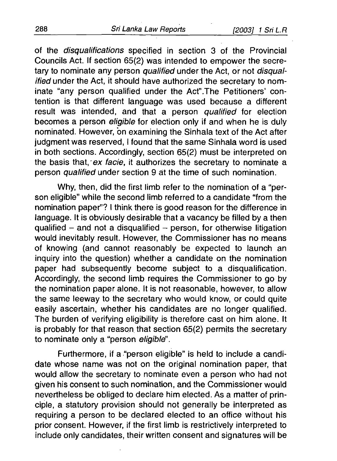of the *disqualifications* specified in section 3 of the Provincial Councils Act. If section 65(2) was intended to empower the secretary to nominate any person *qualified* under the Act, or not *disqualified* under the Act, it should have authorized the secretary to nominate "any person qualified under the Act".The Petitioners' contention is that different language was used because a different result was intended, and that a person *qualified* for election becomes a person *eligible* for election only if and when he is duly nominated. However, on examining the Sinhala text of the Act after judgment was reserved. I found that the same Sinhala word is used in both sections. Accordingly, section 65(2) must be interpreted on the basis that, ex *facie,* it authorizes the secretary to nominate a person *qualified* under section 9 at the time of such nomination.

Why, then, did the first limb refer to the nomination of a "person eligible" while the second limb referred to a candidate "from the nomination paper"? I think there is good reason for the difference in language. It is obviously desirable that a vacancy be filled by a then qualified  $-$  and not a disqualified  $-$  person, for otherwise litigation would inevitably result. However, the Commissioner has no means of knowing (and cannot reasonably be expected to launch an inquiry into the question) whether a candidate on the nomination paper had subsequently become subject to a disqualification. Accordingly, the second limb requires the Commissioner to go by the nomination paper alone. It is not reasonable, however, to allow the same leeway to the secretary who would know, or could quite easily ascertain, whether his candidates are no longer qualified. The burden of verifying eligibility is therefore cast on him alone. It is probably for that reason that section 65(2) permits the secretary to nominate only a "person *eligible*".

Furthermore, if a "person eligible" is held to include a candidate whose name was not on the original nomination paper, that would allow the secretary to nominate even a person who had not given his consent to such nomination, and the Commissioner would nevertheless be obliged to declare him elected. As a matter of principle, a statutory provision should not generally be interpreted as requiring a person to be declared elected to an office without his prior consent. However, if the first limb is restrictively interpreted to include only candidates, their written consent and signatures will be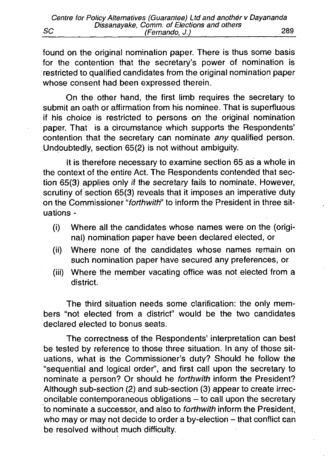found on the original nomination paper. There is thus some basis for the contention that the secretary's power of nomination is restricted to qualified candidates from the original nomination paper whose consent had been expressed therein.

On the other hand, the first limb requires the secretary to submit an oath or affirmation from his nominee. That is superfluous if his choice is restricted to persons on the original nomination paper. That is a circumstance which supports the Respondents' contention that the secretary can nominate *any* qualified person. Undoubtedly, section 65(2) is not without ambiguity.

It is therefore necessary to examine section 65 as a whole in the context of the entire Act. The Respondents contended that section 65(3) applies only if the secretary fails to nominate. However, scrutiny of section 65(3) reveals that it imposes an imperative duty on the Commissioner *"forthw ith'* to inform the President in three situations -

- (i) Where all the candidates whose names were on the (original) nomination paper have been declared elected, or
- (ii) Where none of the candidates whose names remain on such nomination paper have secured any preferences, or
- (iii) Where the member vacating office was not elected from a district.

The third situation needs some clarification: the only members "not elected from a district" would be the two candidates declared elected to bonus seats.

The correctness of the Respondents' interpretation can best be tested by reference to those three situation. In any of those situations, what is the Commissioner's duty? Should he follow the "sequential and logical order", and first call upon the secretary to nominate a person? Or should he *forthwith* inform the President? Although sub-section (2) and sub-section (3) appear to create irrec $i$  oncilable contemporaneous obligations  $-$  to call upon the secretary to nominate a successor, and also to *forthw ith* inform the President, who may or may not decide to order a by-election  $-$  that conflict can be resolved without much difficulty.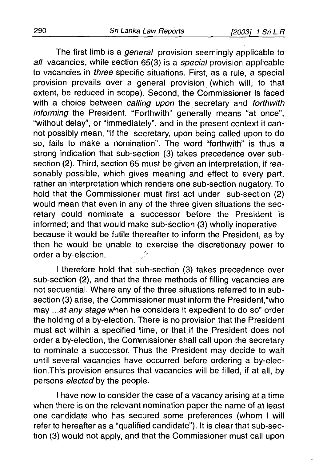The first limb is a *general* provision seemingly applicable to all vacancies, while section 65(3) is a *special* provision applicable to vacancies in *three* specific situations. First, as a rule, a special provision prevails over a general provision (which will, to that extent, be reduced in scope). Second, the Commissioner is faced with a choice between *calling upon* the secretary and *forthwith inform ing* the President. "Forthwith" generally means "at once", "without delay", or "immediately", and in the present context it cannot possibly mean, "if the secretary, upon being called upon to do so, fails to make a nomination". The word "forthwith" is thus a strong indication that sub-section (3) takes precedence over subsection (2). Third, section 65 must be given an interpretation, if reasonably possible, which gives meaning and effect to every part, rather an interpretation which renders one sub-section nugatory. To hold that the Commissioner must first act under sub-section (2) would mean that even in any of the three given situations the secretary could nominate a successor before the President is informed; and that would make sub-section (3) wholly inoperative  $$ because it would be futile thereafter to inform the President, as by then he would be unable to exercise the discretionary power to order a by-election.

I therefore hold that sub-section (3) takes precedence over sub-section (2), and that the three methods of filling vacancies are not sequential. Where any of the three situations referred to in subsection (3) arise, the Commissioner must inform the President,"who may *...at any stage* when he considers it expedient to do so" order the holding of a by-election. There is no provision that the President must act within a specified time, or that if the President does not order a by-election, the Commissioner shall call upon the secretary to nominate a successor. Thus the President may decide to wait until several vacancies have occurred before ordering a by-election.This provision ensures that vacancies will be filled, if at all, by persons *elected* by the people.

I have now to consider the case of a vacancy arising at a time when there is on the relevant nomination paper the name of at least one candidate who has secured some preferences (whom I will refer to hereafter as a "qualified candidate"). It is clear that sub-section (3) would not apply, and that the Commissioner must call upon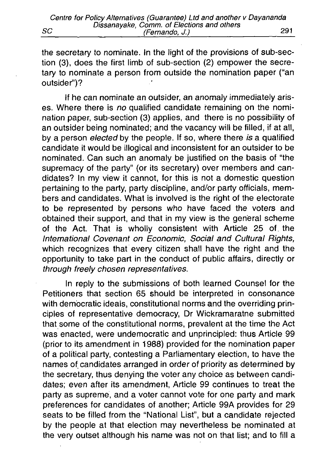the secretary to nominate. In the light of the provisions of sub-section (3), does the first limb of sub-section (2) empower the secretary to nominate a person from outside the nomination paper ("an outsider")?

If he can nominate an outsider, an anomaly immediately arises. Where there is *no* qualified candidate remaining on the nomination paper, sub-section (3) applies, and there is no possibility of an outsider being nominated; and the vacancy will be filled, if at all, by a person *e lec te d* by the people. If so, where there *is* a qualified candidate it would be illogical and inconsistent for an outsider to be nominated. Can such an anomaly be justified on the basis of "the supremacy of the party" (or its secretary) over members and candidates? In my view it cannot, for this is not a domestic question pertaining to the party, party discipline, and/or party officials, members and candidates. What is involved is the right of the electorate to be represented by persons who have faced the voters and obtained their support, and that in my view is the general scheme of the Act. That is wholly consistent with Article 25 of the *International Covenant on Economic, Social and Cultural Rights,* which recognizes that every citizen shall have the right and the opportunity to take part in the conduct of public affairs, directly or *through freely chosen representatives.*

In reply to the submissions of both learned Counsel for the Petitioners that section 65 should be interpreted in consonance with democratic ideals, constitutional norms and the overriding principles of representative democracy, Dr Wickramaratne submitted that some of the constitutional norms, prevalent at the time the Act was enacted, were undemocratic and unprincipled: thus Article 99 (prior to its amendment in 1988) provided for the nomination paper of a political party, contesting a Parliamentary election, to have the names of candidates arranged in order of priority as determined by the secretary, thus denying the voter any choice as between candidates; even after its amendment, Article 99 continues to treat the party as supreme, and a voter cannot vote for one party and mark preferences for candidates of another; Article 99A provides for 29 seats to be filled from the "National List", but a candidate rejected by the people at that election may nevertheless be nominated at the very outset although his name was not on that list; and to fill a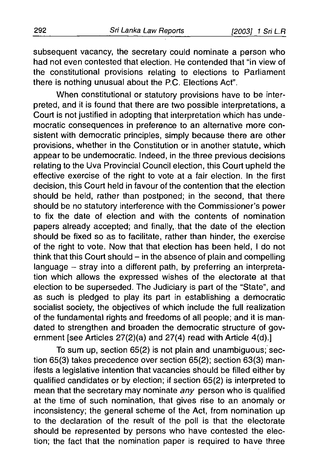subsequent vacancy, the secretary could nominate a person who had not even contested that election. He contended that "in view of the constitutional provisions relating to elections to Parliament there is nothing unusual about the P.C. Elections Act".

When constitutional or statutory provisions have to be interpreted, and it is found that there are two possible interpretations, a Court is not justified in adopting that interpretation which has undemocratic consequences in preference to an alternative more consistent with democratic principles, simply because there are other provisions, whether in the Constitution or in another statute, which appear to be undemocratic. Indeed, in the .three previous decisions relating to the Uva Provincial Council election, this Court upheld the effective exercise of the right to vote at a fair election. In the first decision, this Court held in favour of the contention that the election should be held, rather than postponed; in the second, that there should be no statutory interference with the Commissioner's power to fix the date of election and with the contents of nomination papers already accepted; and finally, that the date of the election should be fixed so as to facilitate, rather than hinder, the exercise of the right to vote. Now that that election has been held, I do not think that this Court should  $-$  in the absence of plain and compelling language - stray into a different path, by preferring an interpretation which allows the expressed wishes of the electorate at that election to be superseded. The Judiciary is part of the "State", and as such is pledged to play its part in establishing a democratic socialist society, the objectives of which include the full realization of the fundamental rights and freedoms of all people; and it is mandated to strengthen and broaden the democratic structure of government [see Articles 27(2)(a) and 27(4) read with Article 4(d).]

To sum up, section 65(2) is not plain and unambiguous; section 65(3) takes precedence over section 65(2); section 63(3) manifests a legislative intention that vacancies should be filled either by qualified candidates or by election; if section 65(2) is interpreted to mean that the secretary may nominate *any* person who is qualified at the time of such nomination, that gives rise to an anomaly or inconsistency; the general scheme of the Act, from nomination up to the declaration of the result of the poll is that the electorate should be represented by persons who have contested the election; the fact that the nomination paper is required to have three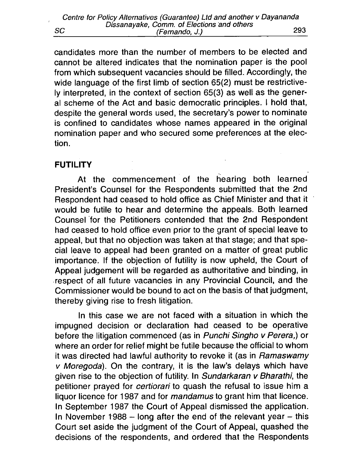candidates more than the number of members to be elected and cannot be altered indicates that the nomination paper is the pool from which subsequent vacancies should be filled. Accordingly, the wide language of the first limb of section 65(2) must be restrictively interpreted, in the context of section 65(3) as well as the general scheme of the Act and basic democratic principles. I hold that, despite the general words used, the secretary's power to nominate is confined to candidates whose names appeared in the original nomination paper and who secured some preferences at the election.

## **FUTILITY**

At the commencement of the hearing both learned President's Counsel for the Respondents submitted that the 2nd Respondent had ceased to hold office as Chief Minister and that it would be futile to hear and determine the appeals. Both learned Counsel for the Petitioners contended that the 2nd Respondent had ceased to hold office even prior to the grant of special leave to appeal, but that no objection was taken at that stage; and that special leave to appeal had been granted on a matter of great public importance. If the objection of futility is now upheld, the Court of Appeal judgement will be regarded as authoritative and binding, in respect of all future vacancies in any Provincial Council, and the Commissioner would be bound to act on the basis of that judgment, thereby giving rise to fresh litigation.

In this case we are not faced with a situation in which the impugned decision or declaration had ceased to be operative before the litigation commenced (as in *Punchi Singho v Perera,*) or where an order for relief might be futile because the official to whom it was directed had lawful authority to revoke it (as in *Ramaswamy v Moregoda*). On the contrary, it is the law's delays which have given rise to the objection of futility. In *Sundarkaran v Bharathi*, the petitioner prayed for *certiorari* to quash the refusal to issue him a liquor licence for 1987 and for *mandamus* to grant him that licence. In September 1987 the Court of Appeal dismissed the application. In November 1988  $-$  long after the end of the relevant year  $-$  this Court set aside the judgment of the Court of Appeal, quashed the decisions of the respondents, and ordered that the Respondents